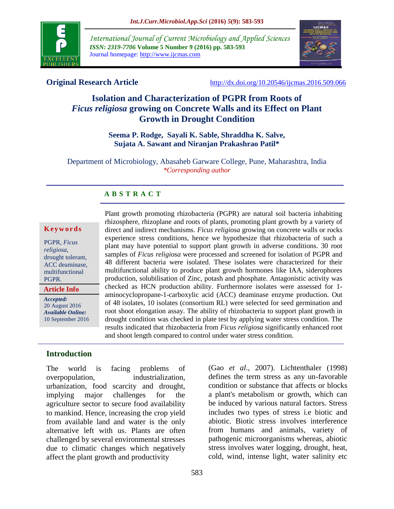

*International Journal of Current Microbiology and Applied Sciences ISSN: 2319-7706* **Volume 5 Number 9 (2016) pp. 583-593** Journal homepage: http://www.ijcmas.com



**Original Research Article** <http://dx.doi.org/10.20546/ijcmas.2016.509.066>

# **Isolation and Characterization of PGPR from Roots of**  *Ficus religiosa* **growing on Concrete Walls and its Effect on Plant Growth in Drought Condition**

## **Seema P. Rodge, Sayali K. Sable, Shraddha K. Salve, Sujata A. Sawant and Niranjan Prakashrao Patil\***

Department of Microbiology, Abasaheb Garware College, Pune, Maharashtra, India *\*Corresponding author*

## **A B S T R A C T**

#### **K e y w o r d s**

PGPR, *Ficus religiosa,* drought tolerant, ACC deaminase, multifunctional PGPR.

**Article Info**

*Accepted:*  20 August 2016 *Available Online:* 10 September 2016 rhizosphere, rhizoplane and roots of plants, promoting plant growth by a variety of direct and indirect mechanisms. *Ficus religiosa* growing on concrete walls or rocks experience stress conditions, hence we hypothesize that rhizobacteria of such a plant may have potential to support plant growth in adverse conditions. 30 root samples of *Ficus religiosa* were processed and screened for isolation of PGPR and 48 different bacteria were isolated. These isolates were characterized for their multifunctional ability to produce plant growth hormones like IAA, siderophores production, solubilisation of Zinc, potash and phosphate. Antagonistic activity was checked as HCN production ability. Furthermore isolates were assessed for 1 aminocyclopropane-1-carboxylic acid (ACC) deaminase enzyme production. Out of 48 isolates, 10 isolates (consortium RL) were selected for seed germination and root shoot elongation assay. The ability of rhizobacteria to support plant growth in drought condition was checked in plate test by applying water stress condition. The results indicated that rhizobacteria from *Ficus religiosa* significantly enhanced root and shoot length compared to control under water stress condition.

Plant growth promoting rhizobacteria (PGPR) are natural soil bacteria inhabiting

# **Introduction**

The world is facing problems of overpopulation, industrialization, urbanization, food scarcity and drought, implying major challenges for the agriculture sector to secure food availability to mankind. Hence, increasing the crop yield from available land and water is the only alternative left with us. Plants are often challenged by several environmental stresses due to climatic changes which negatively affect the plant growth and productivity

(Gao *et al*., 2007). Lichtenthaler (1998) defines the term stress as any un-favorable condition or substance that affects or blocks a plant's metabolism or growth, which can be induced by various natural factors. Stress includes two types of stress i.e biotic and abiotic. Biotic stress involves interference from humans and animals, variety of pathogenic microorganisms whereas, abiotic stress involves water logging, drought, heat, cold, wind, intense light, water salinity etc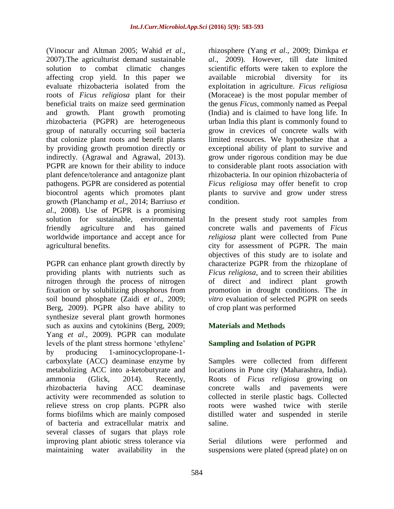(Vinocur and Altman 2005; Wahid *et al*., 2007).The agriculturist demand sustainable solution to combat climatic changes affecting crop yield. In this paper we evaluate rhizobacteria isolated from the roots of *Ficus religiosa* plant for their beneficial traits on maize seed germination and growth. Plant growth promoting rhizobacteria (PGPR) are heterogeneous group of naturally occurring soil bacteria that colonize plant roots and benefit plants by providing growth promotion directly or indirectly. (Agrawal and Agrawal, 2013). PGPR are known for their ability to induce plant defence/tolerance and antagonize plant pathogens. PGPR are considered as potential biocontrol agents which promotes plant growth (Planchamp *et al*., 2014; Barriuso *et al*., 2008). Use of PGPR is a promising solution for sustainable, environmental friendly agriculture and has gained worldwide importance and accept ance for agricultural benefits.

PGPR can enhance plant growth directly by providing plants with nutrients such as nitrogen through the process of nitrogen fixation or by solubilizing phosphorus from soil bound phosphate (Zaidi *et al*., 2009; Berg, 2009). PGPR also have ability to synthesize several plant growth hormones such as auxins and cytokinins (Berg, 2009; Yang *et al*., 2009). PGPR can modulate levels of the plant stress hormone 'ethylene' by producing 1-aminocyclopropane-1 carboxylate (ACC) deaminase enzyme by metabolizing ACC into a-ketobutyrate and ammonia (Glick, 2014). Recently, rhizobacteria having ACC deaminase activity were recommended as solution to relieve stress on crop plants. PGPR also forms biofilms which are mainly composed of bacteria and extracellular matrix and several classes of sugars that plays role improving plant abiotic stress tolerance via maintaining water availability in the

rhizosphere (Yang *et al*., 2009; Dimkpa *et al*., 2009). However, till date limited scientific efforts were taken to explore the available microbial diversity for its exploitation in agriculture. *Ficus religiosa*  (Moraceae) is the most popular member of the genus *Ficus,* commonly named as Peepal (India) and is claimed to have long life. In urban India this plant is commonly found to grow in crevices of concrete walls with limited resources. We hypothesize that a exceptional ability of plant to survive and grow under rigorous condition may be due to considerable plant roots association with rhizobacteria. In our opinion rhizobacteria of *Ficus religiosa* may offer benefit to crop plants to survive and grow under stress condition.

In the present study root samples from concrete walls and pavements of *Ficus religiosa* plant were collected from Pune city for assessment of PGPR. The main objectives of this study are to isolate and characterize PGPR from the rhizoplane of *Ficus religiosa*, and to screen their abilities of direct and indirect plant growth promotion in drought conditions. The *in vitro* evaluation of selected PGPR on seeds of crop plant was performed

# **Materials and Methods**

# **Sampling and Isolation of PGPR**

Samples were collected from different locations in Pune city (Maharashtra, India). Roots of *Ficus religiosa* growing on concrete walls and pavements were collected in sterile plastic bags. Collected roots were washed twice with sterile distilled water and suspended in sterile saline.

Serial dilutions were performed and suspensions were plated (spread plate) on on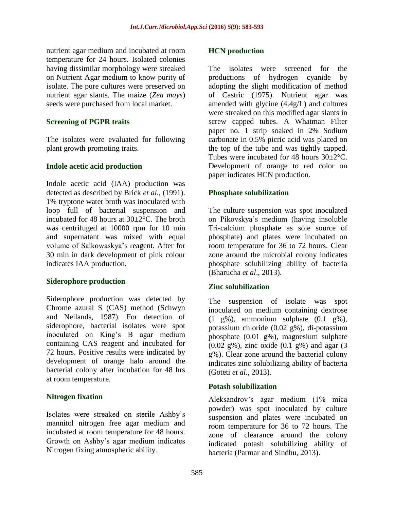nutrient agar medium and incubated at room temperature for 24 hours. Isolated colonies having dissimilar morphology were streaked on Nutrient Agar medium to know purity of isolate. The pure cultures were preserved on nutrient agar slants. The maize (*Zea mays*) seeds were purchased from local market.

#### **Screening of PGPR traits**

The isolates were evaluated for following plant growth promoting traits.

#### **Indole acetic acid production**

Indole acetic acid (IAA) production was detected as described by Brick *et al*., (1991). 1% tryptone water broth was inoculated with loop full of bacterial suspension and incubated for 48 hours at 30±2°C. The broth was centrifuged at 10000 rpm for 10 min and supernatant was mixed with equal volume of Salkowaskya's reagent. After for 30 min in dark development of pink colour indicates IAA production.

#### **Siderophore production**

Siderophore production was detected by Chrome azural S (CAS) method (Schwyn and Neilands, 1987). For detection of siderophore, bacterial isolates were spot inoculated on King's B agar medium containing CAS reagent and incubated for 72 hours. Positive results were indicated by development of orange halo around the bacterial colony after incubation for 48 hrs at room temperature.

## **Nitrogen fixation**

Isolates were streaked on sterile Ashby's mannitol nitrogen free agar medium and incubated at room temperature for 48 hours. Growth on Ashby's agar medium indicates Nitrogen fixing atmospheric ability.

#### **HCN production**

The isolates were screened for the productions of hydrogen cyanide by adopting the slight modification of method of Castric (1975). Nutrient agar was amended with glycine (4.4g/L) and cultures were streaked on this modified agar slants in screw capped tubes. A Whatman Filter paper no. 1 strip soaked in 2% Sodium carbonate in 0.5% picric acid was placed on the top of the tube and was tightly capped. Tubes were incubated for 48 hours 30±2°C. Development of orange to red color on paper indicates HCN production.

## **Phosphate solubilization**

The culture suspension was spot inoculated on Pikovskya's medium (having insoluble Tri-calcium phosphate as sole source of phosphate) and plates were incubated on room temperature for 36 to 72 hours. Clear zone around the microbial colony indicates phosphate solubilizing ability of bacteria (Bharucha *et al*., 2013).

## **Zinc solubilization**

The suspension of isolate was spot inoculated on medium containing dextrose  $(1 \t g\%)$ , ammonium sulphate  $(0.1 \t g\%)$ , potassium chloride (0.02 g%), di-potassium phosphate (0.01 g%), magnesium sulphate (0.02 g%), zinc oxide (0.1 g%) and agar (3 g%). Clear zone around the bacterial colony indicates zinc solubilizing ability of bacteria (Goteti *et al*., 2013).

## **Potash solubilization**

Aleksandrov's agar medium (1% mica powder) was spot inoculated by culture suspension and plates were incubated on room temperature for 36 to 72 hours. The zone of clearance around the colony indicated potash solubilizing ability of bacteria (Parmar and Sindhu, 2013).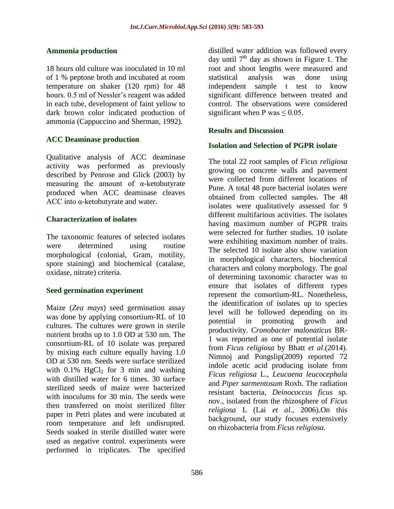#### **Ammonia production**

18 hours old culture was inoculated in 10 ml of 1 % peptone broth and incubated at room temperature on shaker (120 rpm) for 48 hours. 0.5 ml of Nessler's reagent was added in each tube, development of faint yellow to dark brown color indicated production of ammonia (Cappuccino and Sherman, 1992).

## **ACC Deaminase production**

Qualitative analysis of ACC deaminase activity was performed as previously described by Penrose and Glick (2003) by measuring the amount of  $\alpha$ -ketobutyrate produced when ACC deaminase cleaves ACC into α-ketobutyrate and water.

#### **Characterization of isolates**

The taxonomic features of selected isolates were determined using routine morphological (colonial, Gram, motility, spore staining) and biochemical (catalase, oxidase, nitrate) criteria.

#### **Seed germination experiment**

Maize (*Zea mays*) seed germination assay was done by applying consortium-RL of 10 cultures. The cultures were grown in sterile nutrient broths up to 1.0 OD at 530 nm. The consortium-RL of 10 isolate was prepared by mixing each culture equally having 1.0 OD at 530 nm. Seeds were surface sterilized with  $0.1\%$  HgCl<sub>2</sub> for 3 min and washing with distilled water for 6 times. 30 surface sterilized seeds of maize were bacterized with inoculums for 30 min. The seeds were then transferred on moist sterilized filter paper in Petri plates and were incubated at room temperature and left undisrupted. Seeds soaked in sterile distilled water were used as negative control. experiments were performed in triplicates. The specified

distilled water addition was followed every day until  $7<sup>th</sup>$  day as shown in Figure 1. The root and shoot lengths were measured and statistical analysis was done using independent sample t test to know significant difference between treated and control. The observations were considered significant when P was  $\leq 0.05$ .

#### **Results and Discussion**

#### **Isolation and Selection of PGPR isolate**

The total 22 root samples of *Ficus religiosa* growing on concrete walls and pavement were collected from different locations of Pune. A total 48 pure bacterial isolates were obtained from collected samples. The 48 isolates were qualitatively assessed for 9 different multifarious activities. The isolates having maximum number of PGPR traits were selected for further studies. 10 isolate were exhibiting maximum number of traits. The selected 10 isolate also show variation in morphological characters, biochemical characters and colony morphology. The goal of determining taxonomic character was to ensure that isolates of different types represent the consortium-RL. Nonetheless, the identification of isolates up to species level will be followed depending on its potential in promoting growth and productivity. *Cronobacter malonaticus* BR-1 was reported as one of potential isolate from *Ficus religiosa* by Bhatt *et al*.(2014). Nimnoj and Pongslip(2009) reported 72 indole acetic acid producing isolate from *Ficus religiosa* L., *Leucaena leucocephala* and *Piper sarmentosum* Roxb. The radiation resistant bacteria, *Deinococcus ficus* sp. nov., isolated from the rhizosphere of *Ficus religiosa* L (Lai *et al*., 2006).On this background, our study focuses extensively on rhizobacteria from *Ficus religiosa*.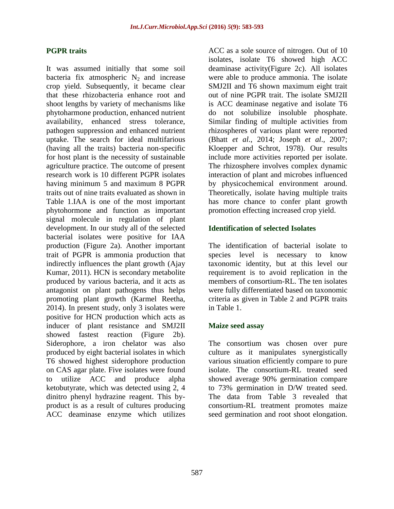#### **PGPR traits**

It was assumed initially that some soil bacteria fix atmospheric  $N_2$  and increase crop yield. Subsequently, it became clear that these rhizobacteria enhance root and shoot lengths by variety of mechanisms like phytoharmone production, enhanced nutrient availability, enhanced stress tolerance, pathogen suppression and enhanced nutrient uptake. The search for ideal multifarious (having all the traits) bacteria non-specific for host plant is the necessity of sustainable agriculture practice. The outcome of present research work is 10 different PGPR isolates having minimum 5 and maximum 8 PGPR traits out of nine traits evaluated as shown in Table 1.IAA is one of the most important phytohormone and function as important signal molecule in regulation of plant development. In our study all of the selected bacterial isolates were positive for IAA production (Figure 2a). Another important trait of PGPR is ammonia production that indirectly influences the plant growth (Ajay Kumar, 2011). HCN is secondary metabolite produced by various bacteria, and it acts as antagonist on plant pathogens thus helps promoting plant growth (Karmel Reetha, 2014). In present study, only 3 isolates were positive for HCN production which acts as inducer of plant resistance and SMJ2II showed fastest reaction (Figure 2b). Siderophore, a iron chelator was also produced by eight bacterial isolates in which T6 showed highest siderophore production on CAS agar plate. Five isolates were found to utilize ACC and produce alpha ketobutyrate, which was detected using 2, 4 dinitro phenyl hydrazine reagent. This byproduct is as a result of cultures producing ACC deaminase enzyme which utilizes

ACC as a sole source of nitrogen. Out of 10 isolates, isolate T6 showed high ACC deaminase activity(Figure 2c). All isolates were able to produce ammonia. The isolate SMJ2II and T6 shown maximum eight trait out of nine PGPR trait. The isolate SMJ2II is ACC deaminase negative and isolate T6 do not solubilize insoluble phosphate. Similar finding of multiple activities from rhizospheres of various plant were reported (Bhatt *et al*., 2014; Joseph *et al*., 2007; Kloepper and Schrot, 1978). Our results include more activities reported per isolate. The rhizosphere involves complex dynamic interaction of plant and microbes influenced by physicochemical environment around. Theoretically, isolate having multiple traits has more chance to confer plant growth promotion effecting increased crop yield.

#### **Identification of selected Isolates**

The identification of bacterial isolate to species level is necessary to know taxonomic identity, but at this level our requirement is to avoid replication in the members of consortium-RL. The ten isolates were fully differentiated based on taxonomic criteria as given in Table 2 and PGPR traits in Table 1.

#### **Maize seed assay**

The consortium was chosen over pure culture as it manipulates synergistically various situation efficiently compare to pure isolate. The consortium-RL treated seed showed average 90% germination compare to 73% germination in D/W treated seed. The data from Table 3 revealed that consortium-RL treatment promotes maize seed germination and root shoot elongation.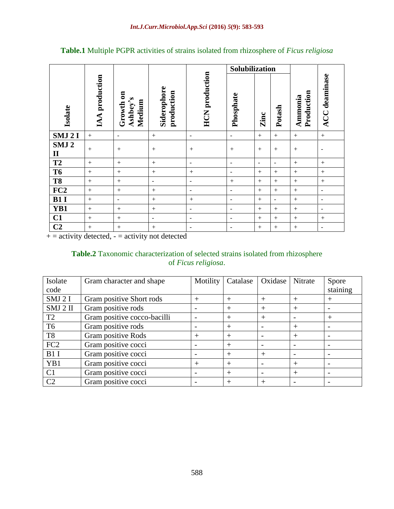|                                  |                |                                 |                           |                          | Solubilization           |                          |                          |                       |                              |
|----------------------------------|----------------|---------------------------------|---------------------------|--------------------------|--------------------------|--------------------------|--------------------------|-----------------------|------------------------------|
| Isolate                          | IAA production | Growth on<br>Ashbey's<br>Medium | Siderophore<br>production | <b>HCN</b> production    | Phosphate                | <b>Zinc</b>              | Potash                   | Production<br>Ammonia | <b>ACC</b> deaminase         |
| SMJ 2I                           | $+$            | $\blacksquare$                  | $^{+}$                    | $\overline{\phantom{a}}$ | $\qquad \qquad -$        | $+$                      | $+$                      |                       | $+$                          |
| SMJ <sub>2</sub><br>$\mathbf{I}$ | $+$            | $+$                             | $+$                       | $+$                      | $+$                      | $+$                      | $+$                      | $+$                   | $\qquad \qquad -$            |
| T2                               | $^{+}$         | $+$                             | $^{+}$                    | $\overline{\phantom{a}}$ | $\overline{\phantom{a}}$ | $\overline{\phantom{a}}$ | $\overline{\phantom{a}}$ | $^{+}$                |                              |
| T <sub>6</sub>                   | $^{+}$         |                                 | $^{+}$                    | $^{+}$                   | $\overline{\phantom{a}}$ | $+$                      | $^{+}$                   |                       | $^{+}$                       |
| T <sub>8</sub>                   | $^{+}$         | $+$                             | $\overline{\phantom{a}}$  | $\overline{\phantom{a}}$ | $^{+}$                   | $+$                      | $^{+}$                   |                       |                              |
| FC2<br>B1 I                      | $^{+}$         |                                 | $^{+}$                    | $\overline{\phantom{a}}$ | $\overline{\phantom{a}}$ | $+$                      | $+$                      |                       | $\overline{\phantom{a}}$     |
|                                  | $+$            | $\overline{\phantom{a}}$        | $+$                       | $+$                      | $\overline{\phantom{a}}$ | $+$                      | $\blacksquare$           | $+$                   | $\overline{\phantom{a}}$     |
| YB1                              | $+$            | $+$                             | $+$                       | $\overline{\phantom{a}}$ | $\overline{\phantom{a}}$ | $+$                      | $+$                      | $+$                   | $\qquad \qquad \blacksquare$ |
| C1                               | $^{+}$         |                                 | $\overline{\phantom{a}}$  | $\overline{\phantom{a}}$ | $\overline{\phantom{a}}$ | $+$                      | $+$                      | $^{+}$                |                              |
| $\overline{C2}$                  | $^{+}$         | $^{+}$                          | $^{+}$                    | $\overline{\phantom{a}}$ | $\overline{\phantom{a}}$ | $^{+}$                   | $^{+}$                   | $^{+}$                | $\overline{\phantom{a}}$     |

**Table.1** Multiple PGPR activities of strains isolated from rhizosphere of *Ficus religiosa*

 $+$  = activity detected,  $-$  = activity not detected

#### **Table.2** Taxonomic characterization of selected strains isolated from rhizosphere of *Ficus religiosa*.

| Isolate         | Gram character and shape    | Motility | Catalase | Oxidase | Nitrate | Spore           |
|-----------------|-----------------------------|----------|----------|---------|---------|-----------------|
| code            |                             |          |          |         |         | staining        |
| SMJ 2 I         | Gram positive Short rods    | $^{+}$   | $^{+}$   | $^{+}$  |         | $^{\mathrm{+}}$ |
| SMJ 2 II        | Gram positive rods          |          | $^{+}$   | $^{+}$  |         |                 |
| T <sub>2</sub>  | Gram positive cocco-bacilli |          | $^{+}$   | $^{+}$  |         | $^+$            |
| T <sub>6</sub>  | Gram positive rods          |          | $^+$     |         |         |                 |
| T <sub>8</sub>  | Gram positive Rods          | $^{+}$   | $^{+}$   |         |         |                 |
| FC <sub>2</sub> | Gram positive cocci         |          | $^{+}$   |         |         |                 |
| B1I             | Gram positive cocci         |          | $^{+}$   | $^{+}$  |         |                 |
| YB1             | Gram positive cocci         | $^{+}$   | $^{+}$   |         | $^{+}$  |                 |
| C <sub>1</sub>  | Gram positive cocci         |          | $^{+}$   |         | $^{+}$  |                 |
| C <sub>2</sub>  | Gram positive cocci         |          | $^{+}$   | $^{+}$  |         |                 |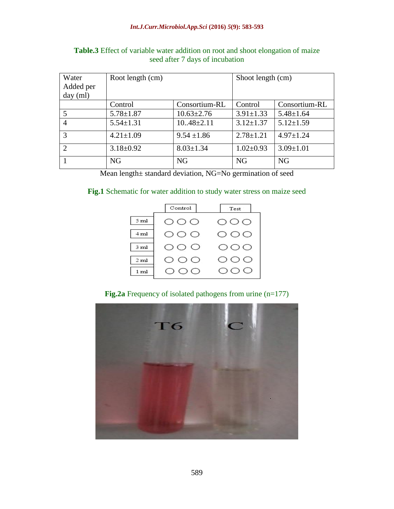#### *Int.J.Curr.Microbiol.App.Sci* **(2016)** *5***(9): 583-593**

| Water                       | Root length (cm) |                  | Shoot length (cm) |                 |
|-----------------------------|------------------|------------------|-------------------|-----------------|
| Added per                   |                  |                  |                   |                 |
| day (ml)                    |                  |                  |                   |                 |
|                             | Control          | Consortium-RL    | Control           | Consortium-RL   |
| 5                           | $5.78 \pm 1.87$  | $10.63 \pm 2.76$ | $3.91 \pm 1.33$   | $5.48 \pm 1.64$ |
| 4                           | $5.54 \pm 1.31$  | $10.48 \pm 2.11$ | $3.12 \pm 1.37$   | $5.12 \pm 1.59$ |
| 3                           | $4.21 \pm 1.09$  | $9.54 \pm 1.86$  | $2.78 \pm 1.21$   | $4.97 \pm 1.24$ |
| $\mathcal{D}_{\mathcal{L}}$ | $3.18 \pm 0.92$  | $8.03 \pm 1.34$  | $1.02 \pm 0.93$   | $3.09 \pm 1.01$ |
|                             | N <sub>G</sub>   | NG               | <b>NG</b>         | <b>NG</b>       |

# **Table.3** Effect of variable water addition on root and shoot elongation of maize seed after 7 days of incubation

Mean length± standard deviation, NG=No germination of seed

## **Fig.1** Schematic for water addition to study water stress on maize seed

|                 | $\mathtt{Control}$      | Test                |
|-----------------|-------------------------|---------------------|
| 5 ml            | $\circ\circ\circ$       | $\circ \circ \circ$ |
| 4 ml            | $\circ \circ \circ$     | OOO                 |
| 3 <sub>ml</sub> | O O O                   | OOO                 |
| 2 <sub>ml</sub> | $\circ$ $\circ$ $\circ$ | $\circ \circ \circ$ |
| 1 <sub>ml</sub> | OOO                     | OOO                 |

## **Fig.2a** Frequency of isolated pathogens from urine (n=177)

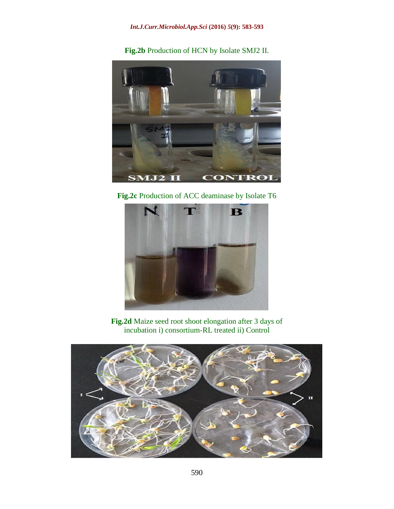**Fig.2b** Production of HCN by Isolate SMJ2 II.



**Fig.2c** Production of ACC deaminase by Isolate T6



**Fig.2d** Maize seed root shoot elongation after 3 days of incubation i) consortium-RL treated ii) Control

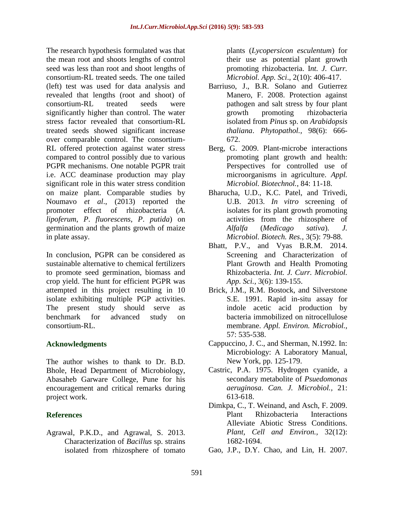The research hypothesis formulated was that the mean root and shoots lengths of control seed was less than root and shoot lengths of consortium-RL treated seeds. The one tailed (left) test was used for data analysis and revealed that lengths (root and shoot) of consortium-RL treated seeds were significantly higher than control. The water stress factor revealed that consortium-RL treated seeds showed significant increase over comparable control. The consortium-RL offered protection against water stress compared to control possibly due to various PGPR mechanisms. One notable PGPR trait i.e. ACC deaminase production may play significant role in this water stress condition on maize plant. Comparable studies by Noumavo *et al*., (2013) reported the promoter effect of rhizobacteria (*A*. *lipoferum*, *P*. *fluorescens*, *P*. *putida*) on germination and the plants growth of maize in plate assay.

In conclusion, PGPR can be considered as sustainable alternative to chemical fertilizers to promote seed germination, biomass and crop yield. The hunt for efficient PGPR was attempted in this project resulting in 10 isolate exhibiting multiple PGP activities. The present study should serve as benchmark for advanced study on consortium-RL.

## **Acknowledgments**

The author wishes to thank to Dr. B.D. Bhole, Head Department of Microbiology, Abasaheb Garware College, Pune for his encouragement and critical remarks during project work.

# **References**

Agrawal, P.K.D., and Agrawal, S. 2013. Characterization of *Bacillus* sp. strains isolated from rhizosphere of tomato plants (*Lycopersicon esculentum*) for their use as potential plant growth promoting rhizobacteria. I*nt. J. Curr. Microbiol. App. Sci*., 2(10): 406-417.

- Barriuso, J., B.R. Solano and Gutierrez Manero, F. 2008. Protection against pathogen and salt stress by four plant growth promoting rhizobacteria isolated from *Pinus* sp. on *Arabidopsis thaliana*. *Phytopathol.,* 98(6): 666- 672.
- Berg, G. 2009. Plant-microbe interactions promoting plant growth and health: Perspectives for controlled use of microorganisms in agriculture. *Appl. Microbiol. Biotechnol.*, 84: 11-18.
- Bharucha, U.D., K.C. Patel, and Trivedi, U.B. 2013. *In vitro* screening of isolates for its plant growth promoting activities from the rhizosphere of *Alfalfa* (*Medicago sativa*). *J. Microbiol. Biotech. Res.*, 3(5): 79-88.
- Bhatt, P.V., and Vyas B.R.M. 2014. Screening and Characterization of Plant Growth and Health Promoting Rhizobacteria. *Int. J. Curr. Microbiol. App. Sci.,* 3(6): 139-155.
- Brick, J.M., R.M. Bostock, and Silverstone S.E. 1991. Rapid in-situ assay for indole acetic acid production by bacteria immobilized on nitrocellulose membrane. *Appl. Environ. Microbiol.,* 57: 535-538.
- Cappuccino, J. C., and Sherman, N.1992. In: Microbiology: A Laboratory Manual, New York, pp. 125-179.
- Castric, P.A. 1975. Hydrogen cyanide, a secondary metabolite of *Psuedomonas aeruginosa*. *Can. J. Microbiol.,* 21: 613-618.
- Dimkpa, C., T. Weinand, and Asch, F. 2009. Plant Rhizobacteria Interactions Alleviate Abiotic Stress Conditions. *Plant, Cell and Environ.,* 32(12): 1682-1694.
- Gao, J.P., D.Y. Chao, and Lin, H. 2007.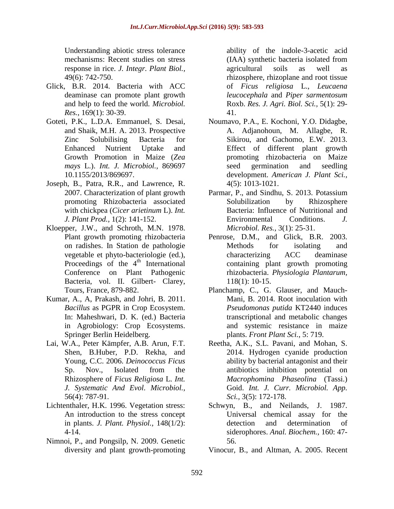Understanding abiotic stress tolerance mechanisms: Recent studies on stress response in rice. *J. Integr. Plant Biol.,* 49(6): 742-750.

- Glick, B.R. 2014. Bacteria with ACC deaminase can promote plant growth and help to feed the world. *Microbiol. Res.*, 169(1): 30-39.
- Goteti, P.K., L.D.A. Emmanuel, S. Desai, and Shaik, M.H. A. 2013. Prospective Zinc Solubilising Bacteria for Enhanced Nutrient Uptake and Growth Promotion in Maize (*Zea mays* L.). *Int. J. Microbiol.,* 869697 10.1155/2013/869697.
- Joseph, B., Patra, R.R., and Lawrence, R. 2007. Characterization of plant growth promoting Rhizobacteria associated with chickpea (*Cicer arietinum* L). *Int. J. Plant Prod.,* 1(2): 141-152.
- Kloepper, J.W., and Schroth, M.N. 1978. Plant growth promoting rhizobacteria on radishes. In Station de pathologie vegetable et phyto-bacteriologie (ed.), Proceedings of the  $4<sup>th</sup>$  International Conference on Plant Pathogenic Bacteria, vol. II. Gilbert- Clarey, Tours, France, 879-882.
- Kumar, A., A, Prakash, and Johri, B. 2011. *Bacillus* as PGPR in Crop Ecosystem. In: Maheshwari, D. K. (ed.) Bacteria in Agrobiology: Crop Ecosystems. Springer Berlin Heidelberg.
- Lai, W.A., Peter Kämpfer, A.B. Arun, F.T. Shen, B.Huber, P.D. Rekha, and Young, C.C. 2006. *Deinococcus Ficus* Sp. Nov., Isolated from the Rhizosphere of *Ficus Religiosa* L. *Int. J. Systematic And Evol. Microbiol.,*  56(4): 787-91.
- Lichtenthaler, H.K. 1996. Vegetation stress: An introduction to the stress concept in plants. *J. Plant. Physiol.,* 148(1/2): 4-14.
- Nimnoi, P., and Pongsilp, N. 2009. Genetic diversity and plant growth-promoting

ability of the indole-3-acetic acid (IAA) synthetic bacteria isolated from agricultural soils as well as rhizosphere, rhizoplane and root tissue of *Ficus religiosa* L., *Leucaena leucocephala* and *Piper sarmentosum* Roxb. *Res. J. Agri. Biol. Sci.,* 5(1): 29- 41.

- Noumavo, P.A., E. Kochoni, Y.O. Didagbe, A. Adjanohoun, M. Allagbe, R. Sikirou, and Gachomo, E.W. 2013. Effect of different plant growth promoting rhizobacteria on Maize seed germination and seedling development. *American J. Plant Sci.,* 4(5): 1013-1021.
- Parmar, P., and Sindhu, S. 2013. Potassium Solubilization by Rhizosphere Bacteria: Influence of Nutritional and Environmental Conditions. *J. Microbiol. Res.,* 3(1): 25-31.
- Penrose, D.M., and Glick, B.R. 2003. Methods for isolating and characterizing ACC deaminase containing plant growth promoting rhizobacteria. *Physiologia Plantarum,* 118(1): 10-15.
- Planchamp, C., G. Glauser, and Mauch-Mani, B. 2014. Root inoculation with *Pseudomonas putida* KT2440 induces transcriptional and metabolic changes and systemic resistance in maize plants. *Front Plant Sci.*, 5: 719.
- Reetha, A.K., S.L. Pavani, and Mohan, S. 2014. Hydrogen cyanide production ability by bacterial antagonist and their antibiotics inhibition potential on *Macrophomina Phaseolina* (Tassi.) Goid. *Int. J. Curr. Microbiol. App. Sci.,* 3(5): 172-178.
- Schwyn, B., and Neilands, J. 1987. Universal chemical assay for the detection and determination of siderophores. *Anal. Biochem.,* 160: 47- 56.
- Vinocur, B., and Altman, A. 2005. Recent